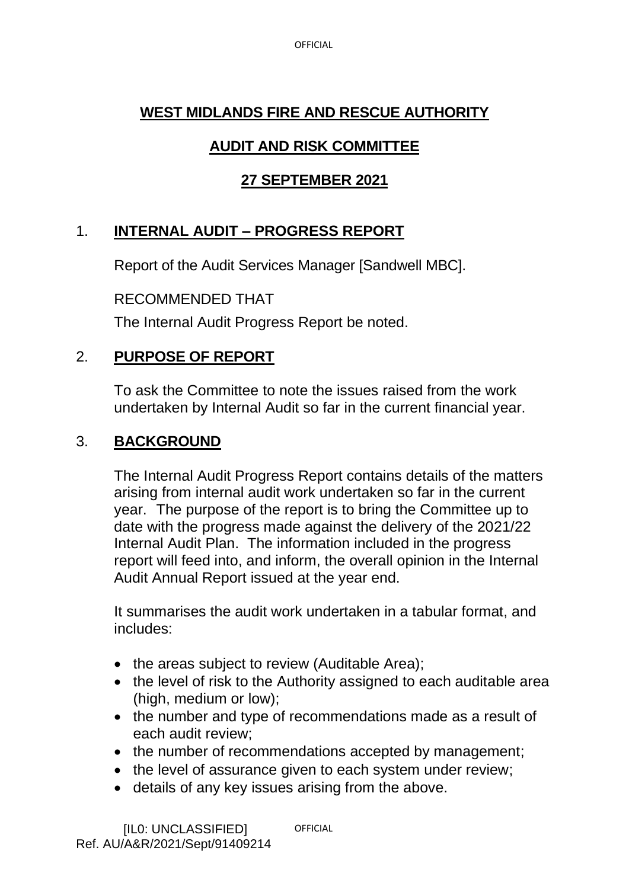OFFICIAL

#### **WEST MIDLANDS FIRE AND RESCUE AUTHORITY**

# **AUDIT AND RISK COMMITTEE**

## **27 SEPTEMBER 2021**

## 1. **INTERNAL AUDIT – PROGRESS REPORT**

Report of the Audit Services Manager [Sandwell MBC].

RECOMMENDED THAT

The Internal Audit Progress Report be noted.

### 2. **PURPOSE OF REPORT**

To ask the Committee to note the issues raised from the work undertaken by Internal Audit so far in the current financial year.

#### 3. **BACKGROUND**

The Internal Audit Progress Report contains details of the matters arising from internal audit work undertaken so far in the current year. The purpose of the report is to bring the Committee up to date with the progress made against the delivery of the 2021/22 Internal Audit Plan. The information included in the progress report will feed into, and inform, the overall opinion in the Internal Audit Annual Report issued at the year end.

It summarises the audit work undertaken in a tabular format, and includes:

- the areas subject to review (Auditable Area);
- the level of risk to the Authority assigned to each auditable area (high, medium or low);
- the number and type of recommendations made as a result of each audit review;
- the number of recommendations accepted by management;
- the level of assurance given to each system under review;
- details of any key issues arising from the above.